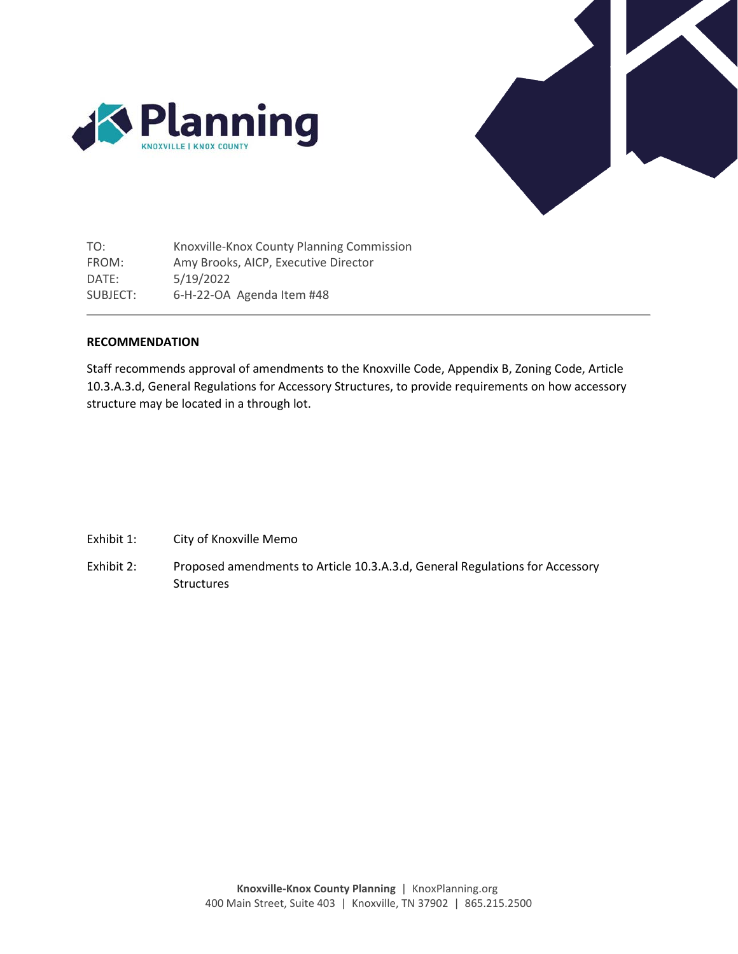



TO: FROM: DATE: SUBJECT: Knoxville-Knox County Planning Commission Amy Brooks, AICP, Executive Director 5/19/2022 6-H-22-OA Agenda Item #48

# **RECOMMENDATION**

Staff recommends approval of amendments to the Knoxville Code, Appendix B, Zoning Code, Article 10.3.A.3.d, General Regulations for Accessory Structures, to provide requirements on how accessory structure may be located in a through lot.

- Exhibit 1: City of Knoxville Memo
- Exhibit 2: Proposed amendments to Article 10.3.A.3.d, General Regulations for Accessory Structures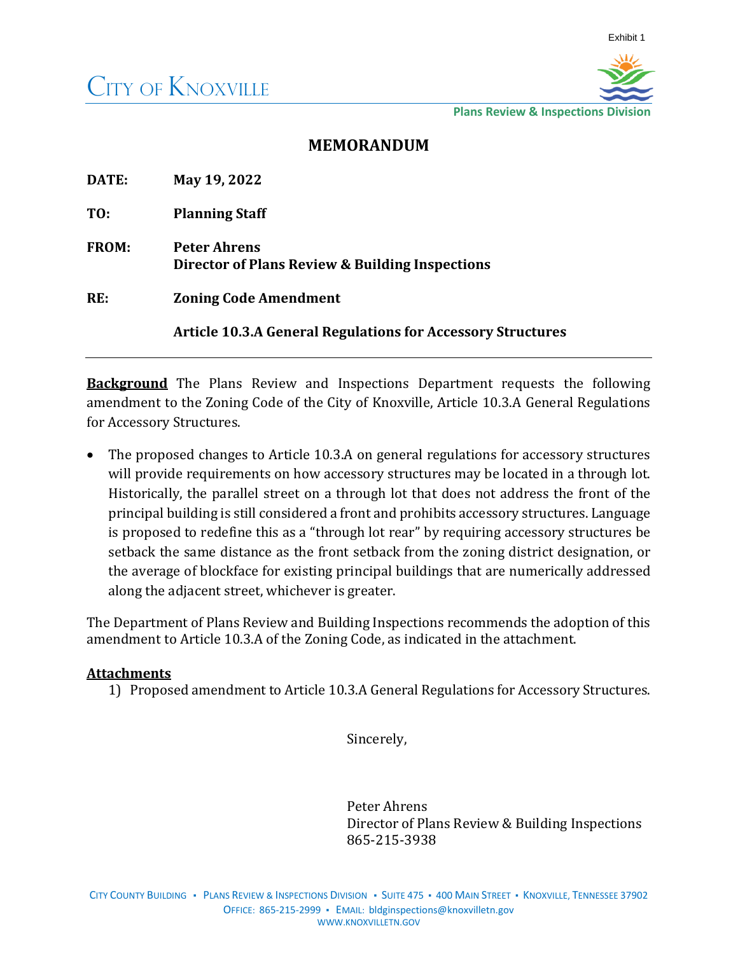

**Plans Review & Inspections Divisio** 

# **MEMORANDUM**

| DATE:        | May 19, 2022                                                           |  |
|--------------|------------------------------------------------------------------------|--|
| TO:          | <b>Planning Staff</b>                                                  |  |
| <b>FROM:</b> | <b>Peter Ahrens</b><br>Director of Plans Review & Building Inspections |  |
| RE:          | <b>Zoning Code Amendment</b>                                           |  |
|              | <b>Article 10.3.A General Regulations for Accessory Structures</b>     |  |

**Background** The Plans Review and Inspections Department requests the following amendment to the Zoning Code of the City of Knoxville, Article 10.3.A General Regulations for Accessory Structures.

The proposed changes to Article 10.3.A on general regulations for accessory structures will provide requirements on how accessory structures may be located in a through lot. Historically, the parallel street on a through lot that does not address the front of the principal building is still considered a front and prohibits accessory structures. Language is proposed to redefine this as a "through lot rear" by requiring accessory structures be setback the same distance as the front setback from the zoning district designation, or the average of blockface for existing principal buildings that are numerically addressed along the adjacent street, whichever is greater.

The Department of Plans Review and Building Inspections recommends the adoption of this amendment to Article 10.3.A of the Zoning Code, as indicated in the attachment.

# **Attachments**

1) Proposed amendment to Article 10.3.A General Regulations for Accessory Structures.

Sincerely,

Peter Ahrens Director of Plans Review & Building Inspections 865-215-3938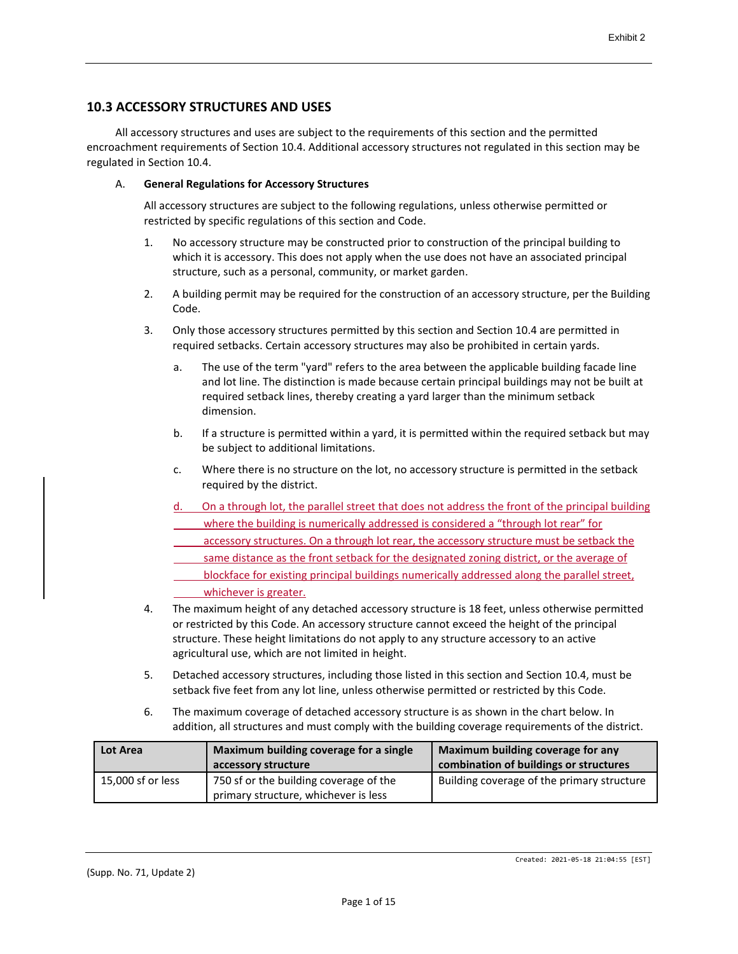# **10.3 ACCESSORY STRUCTURES AND USES**

All accessory structures and uses are subject to the requirements of this section and the permitted encroachment requirements of Section 10.4. Additional accessory structures not regulated in this section may be regulated in Section 10.4.

# A. **General Regulations for Accessory Structures**

All accessory structures are subject to the following regulations, unless otherwise permitted or restricted by specific regulations of this section and Code.

- 1. No accessory structure may be constructed prior to construction of the principal building to which it is accessory. This does not apply when the use does not have an associated principal structure, such as a personal, community, or market garden.
- 2. A building permit may be required for the construction of an accessory structure, per the Building Code.
- 3. Only those accessory structures permitted by this section and Section 10.4 are permitted in required setbacks. Certain accessory structures may also be prohibited in certain yards.
	- a. The use of the term "yard" refers to the area between the applicable building facade line and lot line. The distinction is made because certain principal buildings may not be built at required setback lines, thereby creating a yard larger than the minimum setback dimension.
	- b. If a structure is permitted within a yard, it is permitted within the required setback but may be subject to additional limitations.
	- c. Where there is no structure on the lot, no accessory structure is permitted in the setback required by the district.
	- On a through lot, the parallel street that does not address the front of the principal building where the building is numerically addressed is considered a "through lot rear" for
	- accessory structures. On a through lot rear, the accessory structure must be setback the
	- same distance as the front setback for the designated zoning district, or the average of
	- blockface for existing principal buildings numerically addressed along the parallel street, whichever is greater.
- 4. The maximum height of any detached accessory structure is 18 feet, unless otherwise permitted or restricted by this Code. An accessory structure cannot exceed the height of the principal structure. These height limitations do not apply to any structure accessory to an active agricultural use, which are not limited in height.
- 5. Detached accessory structures, including those listed in this section and Section 10.4, must be setback five feet from any lot line, unless otherwise permitted or restricted by this Code.
- 6. The maximum coverage of detached accessory structure is as shown in the chart below. In addition, all structures and must comply with the building coverage requirements of the district.

| <b>Lot Area</b>   | Maximum building coverage for a single<br>accessory structure                  | Maximum building coverage for any<br>combination of buildings or structures |
|-------------------|--------------------------------------------------------------------------------|-----------------------------------------------------------------------------|
| 15,000 sf or less | 750 sf or the building coverage of the<br>primary structure, whichever is less | Building coverage of the primary structure                                  |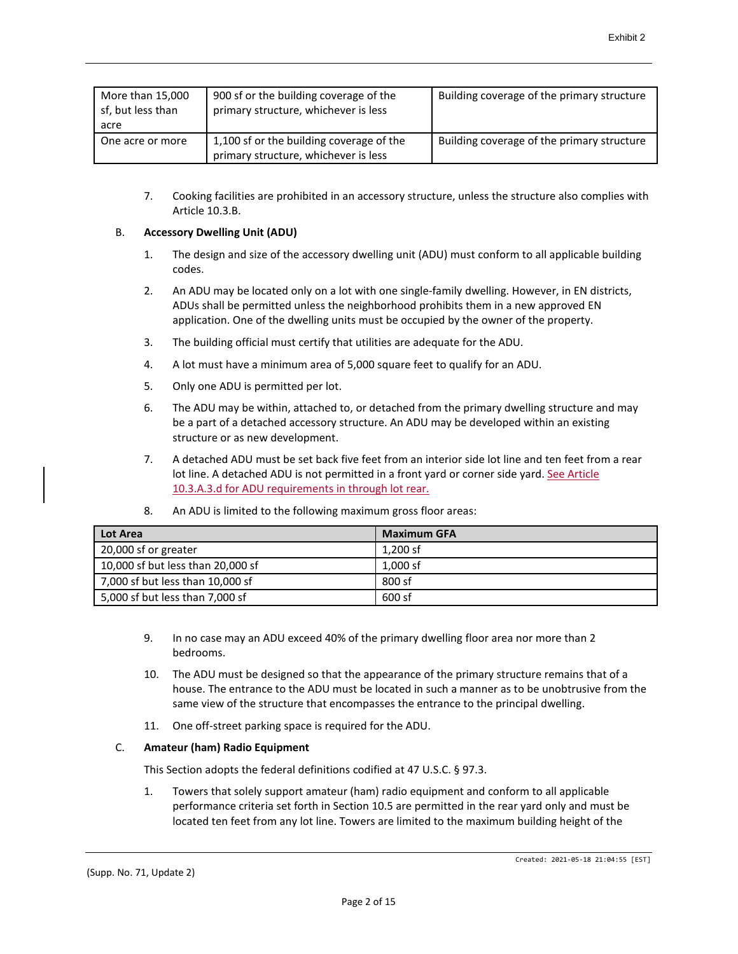| More than 15,000<br>sf, but less than<br>acre | 900 sf or the building coverage of the<br>primary structure, whichever is less   | Building coverage of the primary structure |
|-----------------------------------------------|----------------------------------------------------------------------------------|--------------------------------------------|
| One acre or more                              | 1,100 sf or the building coverage of the<br>primary structure, whichever is less | Building coverage of the primary structure |

7. Cooking facilities are prohibited in an accessory structure, unless the structure also complies with Article 10.3.B.

# B. **Accessory Dwelling Unit (ADU)**

- 1. The design and size of the accessory dwelling unit (ADU) must conform to all applicable building codes.
- 2. An ADU may be located only on a lot with one single-family dwelling. However, in EN districts, ADUs shall be permitted unless the neighborhood prohibits them in a new approved EN application. One of the dwelling units must be occupied by the owner of the property.
- 3. The building official must certify that utilities are adequate for the ADU.
- 4. A lot must have a minimum area of 5,000 square feet to qualify for an ADU.
- 5. Only one ADU is permitted per lot.
- 6. The ADU may be within, attached to, or detached from the primary dwelling structure and may be a part of a detached accessory structure. An ADU may be developed within an existing structure or as new development.
- 7. A detached ADU must be set back five feet from an interior side lot line and ten feet from a rear lot line. A detached ADU is not permitted in a front yard or corner side yard. See Article 10.3.A.3.d for ADU requirements in through lot rear.

| Lot Area                          | <b>Maximum GFA</b> |
|-----------------------------------|--------------------|
| 20,000 sf or greater              | 1,200 sf           |
| 10,000 sf but less than 20,000 sf | 1,000 sf           |
| 7,000 sf but less than 10,000 sf  | 800 sf             |
| 5,000 sf but less than 7,000 sf   | 600 sf             |

8. An ADU is limited to the following maximum gross floor areas:

- 9. In no case may an ADU exceed 40% of the primary dwelling floor area nor more than 2 bedrooms.
- 10. The ADU must be designed so that the appearance of the primary structure remains that of a house. The entrance to the ADU must be located in such a manner as to be unobtrusive from the same view of the structure that encompasses the entrance to the principal dwelling.
- 11. One off-street parking space is required for the ADU.

# C. **Amateur (ham) Radio Equipment**

This Section adopts the federal definitions codified at 47 U.S.C. § 97.3.

1. Towers that solely support amateur (ham) radio equipment and conform to all applicable performance criteria set forth in Section 10.5 are permitted in the rear yard only and must be located ten feet from any lot line. Towers are limited to the maximum building height of the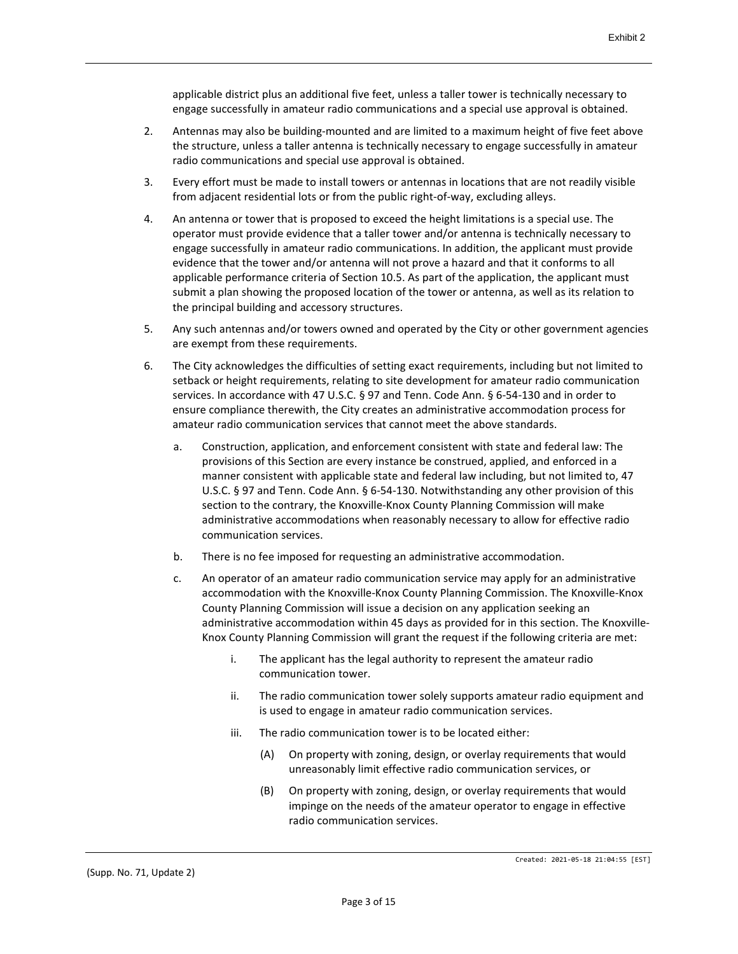applicable district plus an additional five feet, unless a taller tower is technically necessary to engage successfully in amateur radio communications and a special use approval is obtained.

- 2. Antennas may also be building-mounted and are limited to a maximum height of five feet above the structure, unless a taller antenna is technically necessary to engage successfully in amateur radio communications and special use approval is obtained.
- 3. Every effort must be made to install towers or antennas in locations that are not readily visible from adjacent residential lots or from the public right-of-way, excluding alleys.
- 4. An antenna or tower that is proposed to exceed the height limitations is a special use. The operator must provide evidence that a taller tower and/or antenna is technically necessary to engage successfully in amateur radio communications. In addition, the applicant must provide evidence that the tower and/or antenna will not prove a hazard and that it conforms to all applicable performance criteria of Section 10.5. As part of the application, the applicant must submit a plan showing the proposed location of the tower or antenna, as well as its relation to the principal building and accessory structures.
- 5. Any such antennas and/or towers owned and operated by the City or other government agencies are exempt from these requirements.
- 6. The City acknowledges the difficulties of setting exact requirements, including but not limited to setback or height requirements, relating to site development for amateur radio communication services. In accordance with 47 U.S.C. § 97 and Tenn. Code Ann. § 6-54-130 and in order to ensure compliance therewith, the City creates an administrative accommodation process for amateur radio communication services that cannot meet the above standards.
	- a. Construction, application, and enforcement consistent with state and federal law: The provisions of this Section are every instance be construed, applied, and enforced in a manner consistent with applicable state and federal law including, but not limited to, 47 U.S.C. § 97 and Tenn. Code Ann. § 6-54-130. Notwithstanding any other provision of this section to the contrary, the Knoxville-Knox County Planning Commission will make administrative accommodations when reasonably necessary to allow for effective radio communication services.
	- b. There is no fee imposed for requesting an administrative accommodation.
	- c. An operator of an amateur radio communication service may apply for an administrative accommodation with the Knoxville-Knox County Planning Commission. The Knoxville-Knox County Planning Commission will issue a decision on any application seeking an administrative accommodation within 45 days as provided for in this section. The Knoxville-Knox County Planning Commission will grant the request if the following criteria are met:
		- i. The applicant has the legal authority to represent the amateur radio communication tower.
		- ii. The radio communication tower solely supports amateur radio equipment and is used to engage in amateur radio communication services.
		- iii. The radio communication tower is to be located either:
			- (A) On property with zoning, design, or overlay requirements that would unreasonably limit effective radio communication services, or
			- (B) On property with zoning, design, or overlay requirements that would impinge on the needs of the amateur operator to engage in effective radio communication services.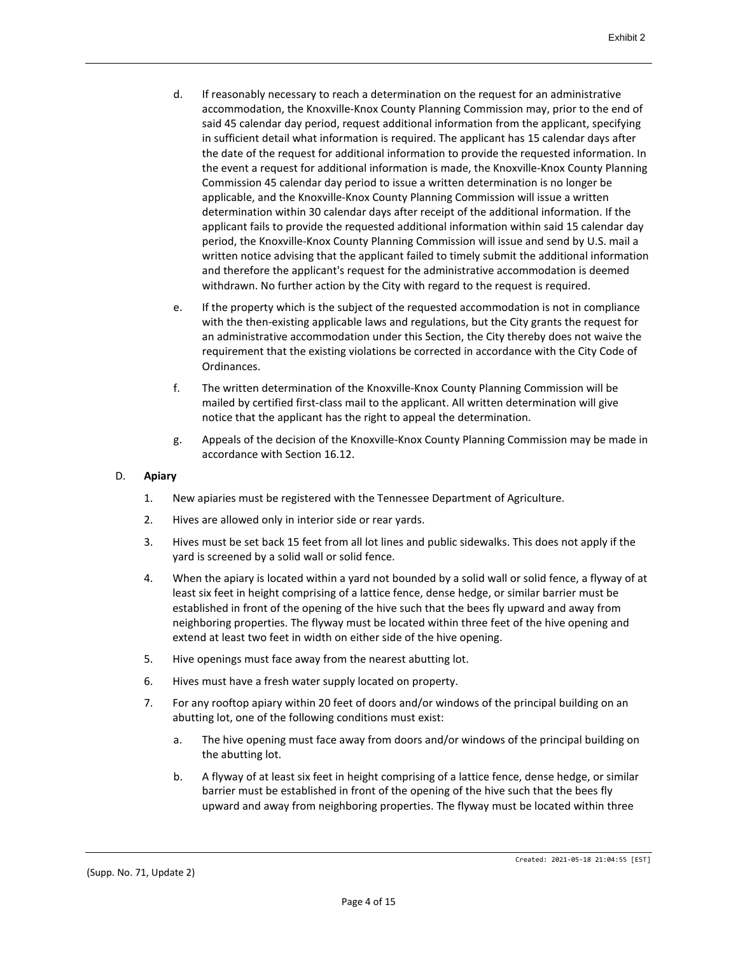- d. If reasonably necessary to reach a determination on the request for an administrative accommodation, the Knoxville-Knox County Planning Commission may, prior to the end of said 45 calendar day period, request additional information from the applicant, specifying in sufficient detail what information is required. The applicant has 15 calendar days after the date of the request for additional information to provide the requested information. In the event a request for additional information is made, the Knoxville-Knox County Planning Commission 45 calendar day period to issue a written determination is no longer be applicable, and the Knoxville-Knox County Planning Commission will issue a written determination within 30 calendar days after receipt of the additional information. If the applicant fails to provide the requested additional information within said 15 calendar day period, the Knoxville-Knox County Planning Commission will issue and send by U.S. mail a written notice advising that the applicant failed to timely submit the additional information and therefore the applicant's request for the administrative accommodation is deemed withdrawn. No further action by the City with regard to the request is required.
- e. If the property which is the subject of the requested accommodation is not in compliance with the then-existing applicable laws and regulations, but the City grants the request for an administrative accommodation under this Section, the City thereby does not waive the requirement that the existing violations be corrected in accordance with the City Code of Ordinances.
- f. The written determination of the Knoxville-Knox County Planning Commission will be mailed by certified first-class mail to the applicant. All written determination will give notice that the applicant has the right to appeal the determination.
- g. Appeals of the decision of the Knoxville-Knox County Planning Commission may be made in accordance with Section 16.12.

#### D. **Apiary**

- 1. New apiaries must be registered with the Tennessee Department of Agriculture.
- 2. Hives are allowed only in interior side or rear yards.
- 3. Hives must be set back 15 feet from all lot lines and public sidewalks. This does not apply if the yard is screened by a solid wall or solid fence.
- 4. When the apiary is located within a yard not bounded by a solid wall or solid fence, a flyway of at least six feet in height comprising of a lattice fence, dense hedge, or similar barrier must be established in front of the opening of the hive such that the bees fly upward and away from neighboring properties. The flyway must be located within three feet of the hive opening and extend at least two feet in width on either side of the hive opening.
- 5. Hive openings must face away from the nearest abutting lot.
- 6. Hives must have a fresh water supply located on property.
- 7. For any rooftop apiary within 20 feet of doors and/or windows of the principal building on an abutting lot, one of the following conditions must exist:
	- a. The hive opening must face away from doors and/or windows of the principal building on the abutting lot.
	- b. A flyway of at least six feet in height comprising of a lattice fence, dense hedge, or similar barrier must be established in front of the opening of the hive such that the bees fly upward and away from neighboring properties. The flyway must be located within three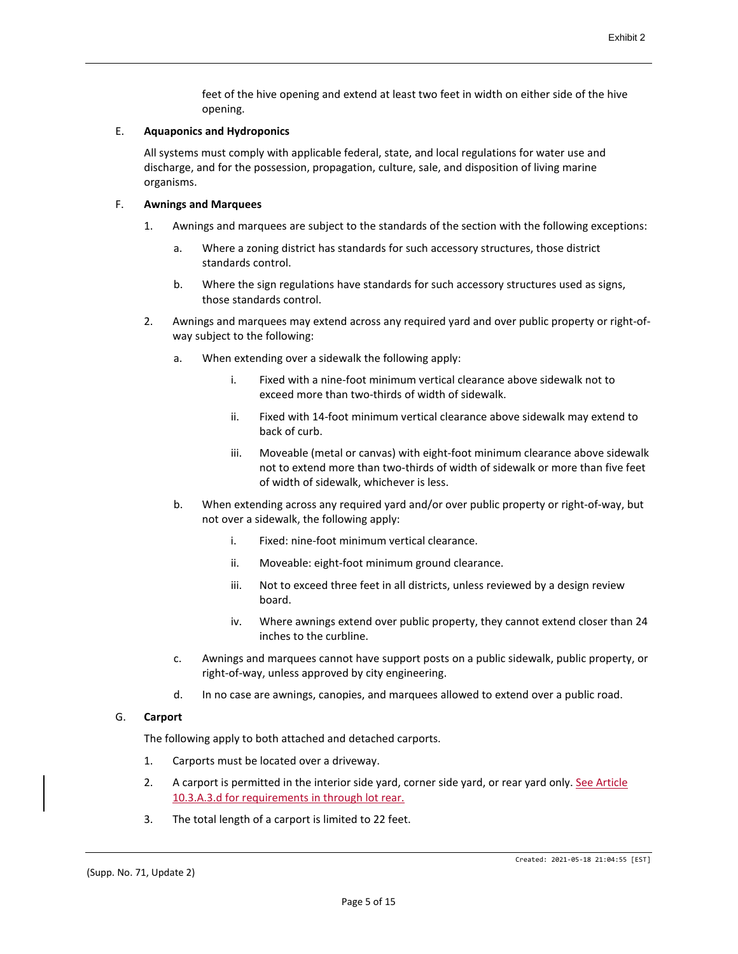feet of the hive opening and extend at least two feet in width on either side of the hive opening.

#### E. **Aquaponics and Hydroponics**

All systems must comply with applicable federal, state, and local regulations for water use and discharge, and for the possession, propagation, culture, sale, and disposition of living marine organisms.

#### F. **Awnings and Marquees**

- 1. Awnings and marquees are subject to the standards of the section with the following exceptions:
	- a. Where a zoning district has standards for such accessory structures, those district standards control.
	- b. Where the sign regulations have standards for such accessory structures used as signs, those standards control.
- 2. Awnings and marquees may extend across any required yard and over public property or right-ofway subject to the following:
	- a. When extending over a sidewalk the following apply:
		- i. Fixed with a nine-foot minimum vertical clearance above sidewalk not to exceed more than two-thirds of width of sidewalk.
		- ii. Fixed with 14-foot minimum vertical clearance above sidewalk may extend to back of curb.
		- iii. Moveable (metal or canvas) with eight-foot minimum clearance above sidewalk not to extend more than two-thirds of width of sidewalk or more than five feet of width of sidewalk, whichever is less.
	- b. When extending across any required yard and/or over public property or right-of-way, but not over a sidewalk, the following apply:
		- i. Fixed: nine-foot minimum vertical clearance.
		- ii. Moveable: eight-foot minimum ground clearance.
		- iii. Not to exceed three feet in all districts, unless reviewed by a design review board.
		- iv. Where awnings extend over public property, they cannot extend closer than 24 inches to the curbline.
	- c. Awnings and marquees cannot have support posts on a public sidewalk, public property, or right-of-way, unless approved by city engineering.
	- d. In no case are awnings, canopies, and marquees allowed to extend over a public road.

#### G. **Carport**

The following apply to both attached and detached carports.

- 1. Carports must be located over a driveway.
- 2. A carport is permitted in the interior side yard, corner side yard, or rear yard only. See Article 10.3.A.3.d for requirements in through lot rear.
- 3. The total length of a carport is limited to 22 feet.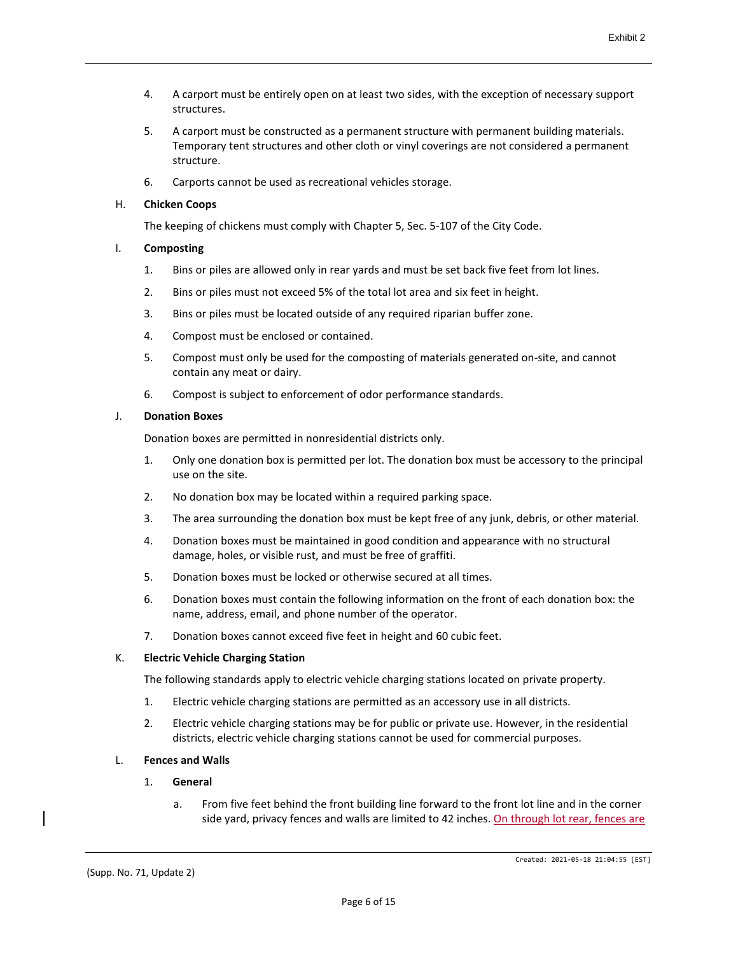- 4. A carport must be entirely open on at least two sides, with the exception of necessary support structures.
- 5. A carport must be constructed as a permanent structure with permanent building materials. Temporary tent structures and other cloth or vinyl coverings are not considered a permanent structure.
- 6. Carports cannot be used as recreational vehicles storage.

#### H. **Chicken Coops**

The keeping of chickens must comply with Chapter 5, Sec. 5-107 of the City Code.

## I. **Composting**

- 1. Bins or piles are allowed only in rear yards and must be set back five feet from lot lines.
- 2. Bins or piles must not exceed 5% of the total lot area and six feet in height.
- 3. Bins or piles must be located outside of any required riparian buffer zone.
- 4. Compost must be enclosed or contained.
- 5. Compost must only be used for the composting of materials generated on-site, and cannot contain any meat or dairy.
- 6. Compost is subject to enforcement of odor performance standards.

#### J. **Donation Boxes**

Donation boxes are permitted in nonresidential districts only.

- 1. Only one donation box is permitted per lot. The donation box must be accessory to the principal use on the site.
- 2. No donation box may be located within a required parking space.
- 3. The area surrounding the donation box must be kept free of any junk, debris, or other material.
- 4. Donation boxes must be maintained in good condition and appearance with no structural damage, holes, or visible rust, and must be free of graffiti.
- 5. Donation boxes must be locked or otherwise secured at all times.
- 6. Donation boxes must contain the following information on the front of each donation box: the name, address, email, and phone number of the operator.
- 7. Donation boxes cannot exceed five feet in height and 60 cubic feet.

#### K. **Electric Vehicle Charging Station**

The following standards apply to electric vehicle charging stations located on private property.

- 1. Electric vehicle charging stations are permitted as an accessory use in all districts.
- 2. Electric vehicle charging stations may be for public or private use. However, in the residential districts, electric vehicle charging stations cannot be used for commercial purposes.

# L. **Fences and Walls**

#### 1. **General**

a. From five feet behind the front building line forward to the front lot line and in the corner side yard, privacy fences and walls are limited to 42 inches. On through lot rear, fences are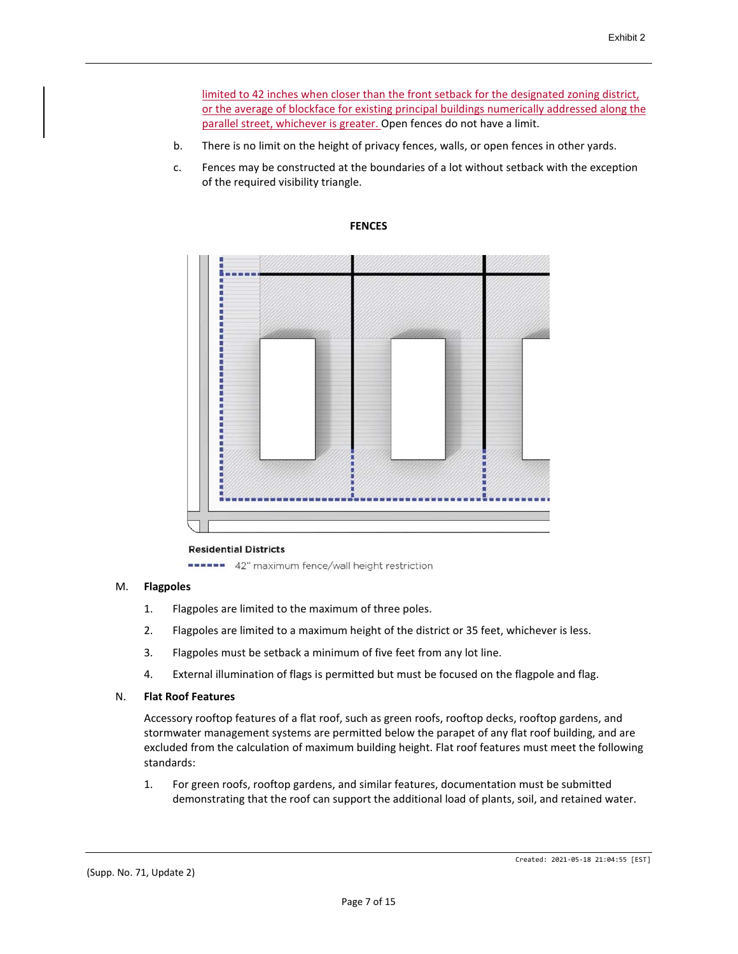limited to 42 inches when closer than the front setback for the designated zoning district, or the average of blockface for existing principal buildings numerically addressed along the parallel street, whichever is greater. Open fences do not have a limit.

- b. There is no limit on the height of privacy fences, walls, or open fences in other yards.
- c. Fences may be constructed at the boundaries of a lot without setback with the exception of the required visibility triangle.





#### **Residential Districts**

**\*\*\*\*\*\*** 42" maximum fence/wall height restriction

#### M. **Flagpoles**

- 1. Flagpoles are limited to the maximum of three poles.
- 2. Flagpoles are limited to a maximum height of the district or 35 feet, whichever is less.
- 3. Flagpoles must be setback a minimum of five feet from any lot line.
- 4. External illumination of flags is permitted but must be focused on the flagpole and flag.

#### N. **Flat Roof Features**

Accessory rooftop features of a flat roof, such as green roofs, rooftop decks, rooftop gardens, and stormwater management systems are permitted below the parapet of any flat roof building, and are excluded from the calculation of maximum building height. Flat roof features must meet the following standards:

1. For green roofs, rooftop gardens, and similar features, documentation must be submitted demonstrating that the roof can support the additional load of plants, soil, and retained water.

(Supp. No. 71, Update 2)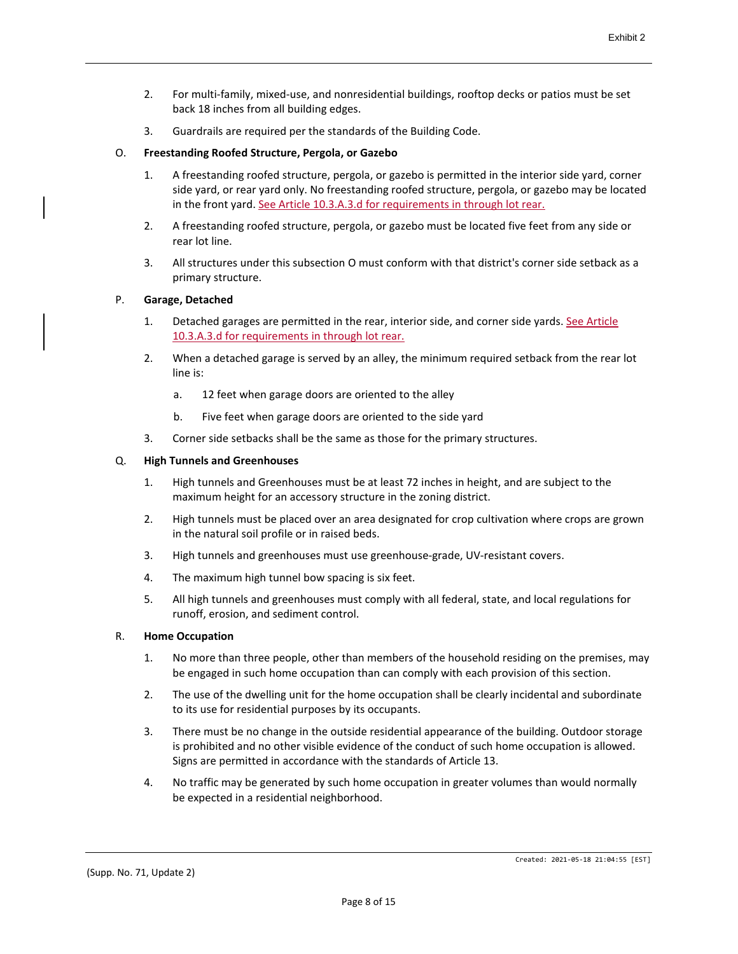- 2. For multi-family, mixed-use, and nonresidential buildings, rooftop decks or patios must be set back 18 inches from all building edges.
- 3. Guardrails are required per the standards of the Building Code.

## O. **Freestanding Roofed Structure, Pergola, or Gazebo**

- 1. A freestanding roofed structure, pergola, or gazebo is permitted in the interior side yard, corner side yard, or rear yard only. No freestanding roofed structure, pergola, or gazebo may be located in the front yard. See Article 10.3.A.3.d for requirements in through lot rear.
- 2. A freestanding roofed structure, pergola, or gazebo must be located five feet from any side or rear lot line.
- 3. All structures under this subsection O must conform with that district's corner side setback as a primary structure.

#### P. **Garage, Detached**

- 1. Detached garages are permitted in the rear, interior side, and corner side yards. See Article 10.3.A.3.d for requirements in through lot rear.
- 2. When a detached garage is served by an alley, the minimum required setback from the rear lot line is:
	- a. 12 feet when garage doors are oriented to the alley
	- b. Five feet when garage doors are oriented to the side yard
- 3. Corner side setbacks shall be the same as those for the primary structures.

#### Q. **High Tunnels and Greenhouses**

- 1. High tunnels and Greenhouses must be at least 72 inches in height, and are subject to the maximum height for an accessory structure in the zoning district.
- 2. High tunnels must be placed over an area designated for crop cultivation where crops are grown in the natural soil profile or in raised beds.
- 3. High tunnels and greenhouses must use greenhouse-grade, UV-resistant covers.
- 4. The maximum high tunnel bow spacing is six feet.
- 5. All high tunnels and greenhouses must comply with all federal, state, and local regulations for runoff, erosion, and sediment control.

#### R. **Home Occupation**

- 1. No more than three people, other than members of the household residing on the premises, may be engaged in such home occupation than can comply with each provision of this section.
- 2. The use of the dwelling unit for the home occupation shall be clearly incidental and subordinate to its use for residential purposes by its occupants.
- 3. There must be no change in the outside residential appearance of the building. Outdoor storage is prohibited and no other visible evidence of the conduct of such home occupation is allowed. Signs are permitted in accordance with the standards of Article 13.
- 4. No traffic may be generated by such home occupation in greater volumes than would normally be expected in a residential neighborhood.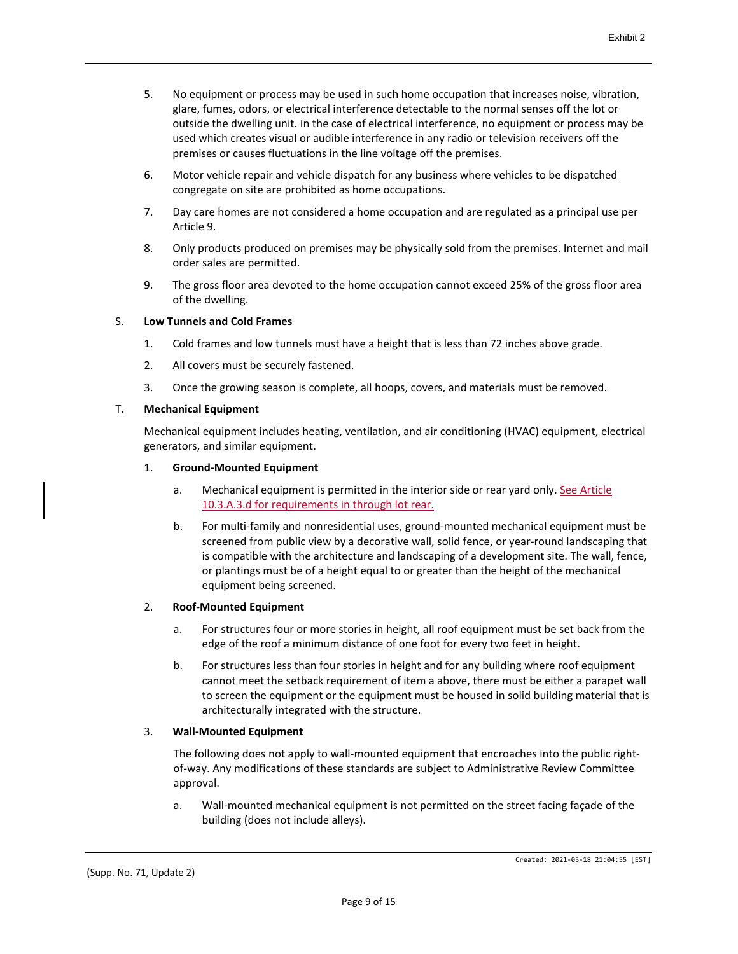- 5. No equipment or process may be used in such home occupation that increases noise, vibration, glare, fumes, odors, or electrical interference detectable to the normal senses off the lot or outside the dwelling unit. In the case of electrical interference, no equipment or process may be used which creates visual or audible interference in any radio or television receivers off the premises or causes fluctuations in the line voltage off the premises.
- 6. Motor vehicle repair and vehicle dispatch for any business where vehicles to be dispatched congregate on site are prohibited as home occupations.
- 7. Day care homes are not considered a home occupation and are regulated as a principal use per Article 9.
- 8. Only products produced on premises may be physically sold from the premises. Internet and mail order sales are permitted.
- 9. The gross floor area devoted to the home occupation cannot exceed 25% of the gross floor area of the dwelling.

#### S. **Low Tunnels and Cold Frames**

- 1. Cold frames and low tunnels must have a height that is less than 72 inches above grade.
- 2. All covers must be securely fastened.
- 3. Once the growing season is complete, all hoops, covers, and materials must be removed.

## T. **Mechanical Equipment**

Mechanical equipment includes heating, ventilation, and air conditioning (HVAC) equipment, electrical generators, and similar equipment.

#### 1. **Ground-Mounted Equipment**

- a. Mechanical equipment is permitted in the interior side or rear yard only. See Article 10.3.A.3.d for requirements in through lot rear.
- b. For multi-family and nonresidential uses, ground-mounted mechanical equipment must be screened from public view by a decorative wall, solid fence, or year-round landscaping that is compatible with the architecture and landscaping of a development site. The wall, fence, or plantings must be of a height equal to or greater than the height of the mechanical equipment being screened.

# 2. **Roof-Mounted Equipment**

- a. For structures four or more stories in height, all roof equipment must be set back from the edge of the roof a minimum distance of one foot for every two feet in height.
- b. For structures less than four stories in height and for any building where roof equipment cannot meet the setback requirement of item a above, there must be either a parapet wall to screen the equipment or the equipment must be housed in solid building material that is architecturally integrated with the structure.

# 3. **Wall-Mounted Equipment**

The following does not apply to wall-mounted equipment that encroaches into the public rightof-way. Any modifications of these standards are subject to Administrative Review Committee approval.

a. Wall-mounted mechanical equipment is not permitted on the street facing façade of the building (does not include alleys).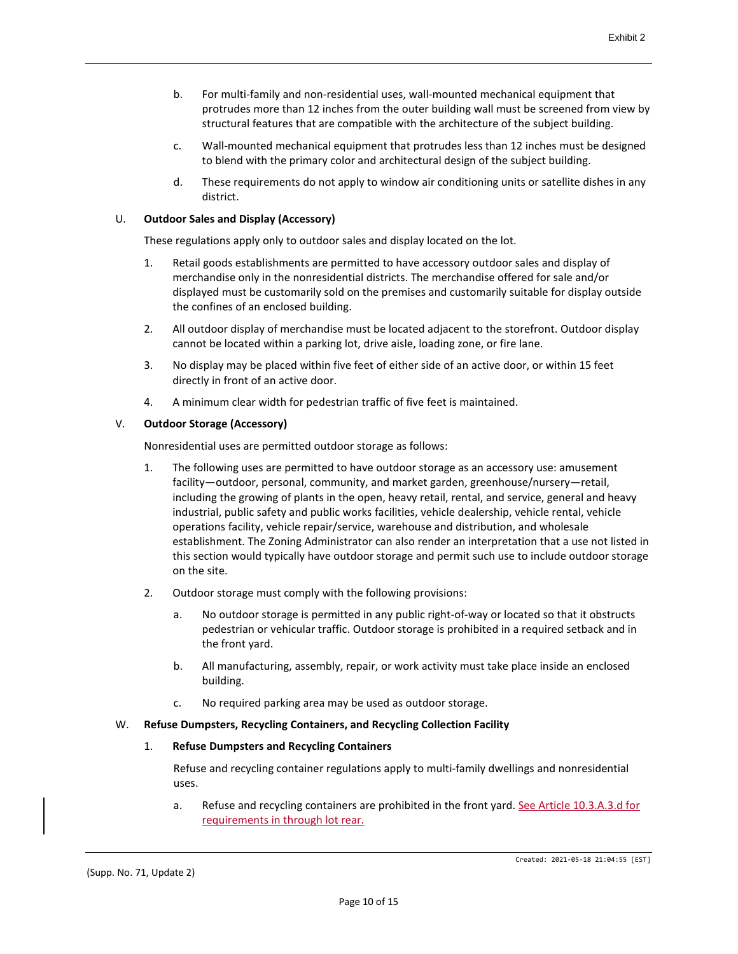- b. For multi-family and non-residential uses, wall-mounted mechanical equipment that protrudes more than 12 inches from the outer building wall must be screened from view by structural features that are compatible with the architecture of the subject building.
- c. Wall-mounted mechanical equipment that protrudes less than 12 inches must be designed to blend with the primary color and architectural design of the subject building.
- d. These requirements do not apply to window air conditioning units or satellite dishes in any district.

#### U. **Outdoor Sales and Display (Accessory)**

These regulations apply only to outdoor sales and display located on the lot.

- 1. Retail goods establishments are permitted to have accessory outdoor sales and display of merchandise only in the nonresidential districts. The merchandise offered for sale and/or displayed must be customarily sold on the premises and customarily suitable for display outside the confines of an enclosed building.
- 2. All outdoor display of merchandise must be located adjacent to the storefront. Outdoor display cannot be located within a parking lot, drive aisle, loading zone, or fire lane.
- 3. No display may be placed within five feet of either side of an active door, or within 15 feet directly in front of an active door.
- 4. A minimum clear width for pedestrian traffic of five feet is maintained.

## V. **Outdoor Storage (Accessory)**

Nonresidential uses are permitted outdoor storage as follows:

- 1. The following uses are permitted to have outdoor storage as an accessory use: amusement facility—outdoor, personal, community, and market garden, greenhouse/nursery—retail, including the growing of plants in the open, heavy retail, rental, and service, general and heavy industrial, public safety and public works facilities, vehicle dealership, vehicle rental, vehicle operations facility, vehicle repair/service, warehouse and distribution, and wholesale establishment. The Zoning Administrator can also render an interpretation that a use not listed in this section would typically have outdoor storage and permit such use to include outdoor storage on the site.
- 2. Outdoor storage must comply with the following provisions:
	- a. No outdoor storage is permitted in any public right-of-way or located so that it obstructs pedestrian or vehicular traffic. Outdoor storage is prohibited in a required setback and in the front yard.
	- b. All manufacturing, assembly, repair, or work activity must take place inside an enclosed building.
	- c. No required parking area may be used as outdoor storage.

#### W. **Refuse Dumpsters, Recycling Containers, and Recycling Collection Facility**

#### 1. **Refuse Dumpsters and Recycling Containers**

Refuse and recycling container regulations apply to multi-family dwellings and nonresidential uses.

a. Refuse and recycling containers are prohibited in the front yard. See Article 10.3.A.3.d for requirements in through lot rear.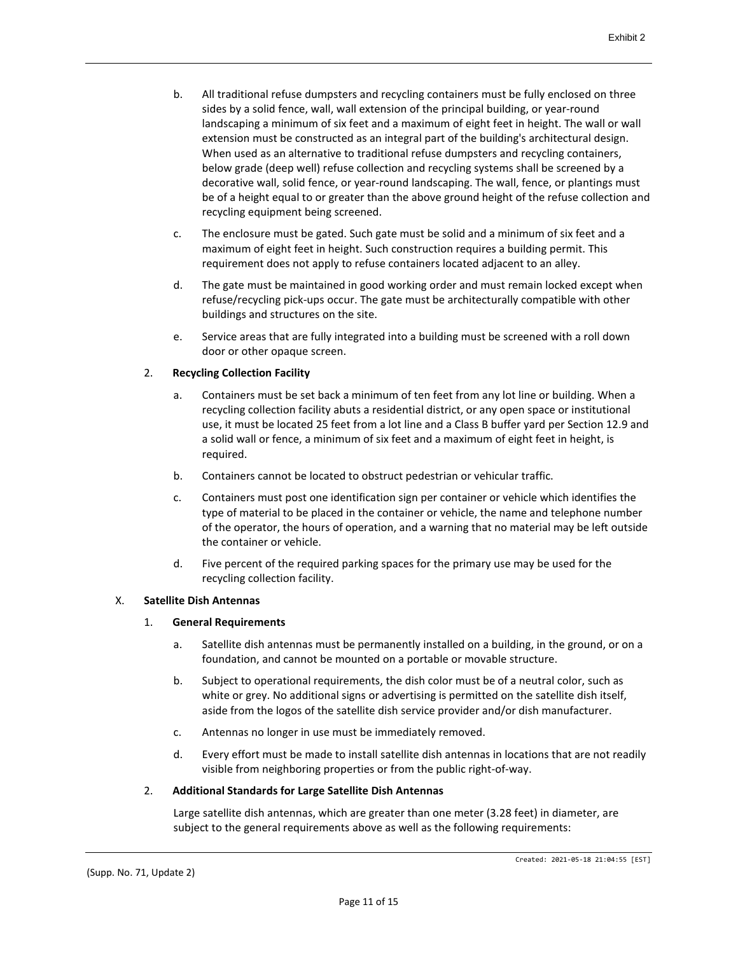- b. All traditional refuse dumpsters and recycling containers must be fully enclosed on three sides by a solid fence, wall, wall extension of the principal building, or year-round landscaping a minimum of six feet and a maximum of eight feet in height. The wall or wall extension must be constructed as an integral part of the building's architectural design. When used as an alternative to traditional refuse dumpsters and recycling containers, below grade (deep well) refuse collection and recycling systems shall be screened by a decorative wall, solid fence, or year-round landscaping. The wall, fence, or plantings must be of a height equal to or greater than the above ground height of the refuse collection and recycling equipment being screened.
- c. The enclosure must be gated. Such gate must be solid and a minimum of six feet and a maximum of eight feet in height. Such construction requires a building permit. This requirement does not apply to refuse containers located adjacent to an alley.
- d. The gate must be maintained in good working order and must remain locked except when refuse/recycling pick-ups occur. The gate must be architecturally compatible with other buildings and structures on the site.
- e. Service areas that are fully integrated into a building must be screened with a roll down door or other opaque screen.

# 2. **Recycling Collection Facility**

- a. Containers must be set back a minimum of ten feet from any lot line or building. When a recycling collection facility abuts a residential district, or any open space or institutional use, it must be located 25 feet from a lot line and a Class B buffer yard per Section 12.9 and a solid wall or fence, a minimum of six feet and a maximum of eight feet in height, is required.
- b. Containers cannot be located to obstruct pedestrian or vehicular traffic.
- c. Containers must post one identification sign per container or vehicle which identifies the type of material to be placed in the container or vehicle, the name and telephone number of the operator, the hours of operation, and a warning that no material may be left outside the container or vehicle.
- d. Five percent of the required parking spaces for the primary use may be used for the recycling collection facility.

# X. **Satellite Dish Antennas**

#### 1. **General Requirements**

- a. Satellite dish antennas must be permanently installed on a building, in the ground, or on a foundation, and cannot be mounted on a portable or movable structure.
- b. Subject to operational requirements, the dish color must be of a neutral color, such as white or grey. No additional signs or advertising is permitted on the satellite dish itself, aside from the logos of the satellite dish service provider and/or dish manufacturer.
- c. Antennas no longer in use must be immediately removed.
- d. Every effort must be made to install satellite dish antennas in locations that are not readily visible from neighboring properties or from the public right-of-way.

#### 2. **Additional Standards for Large Satellite Dish Antennas**

Large satellite dish antennas, which are greater than one meter (3.28 feet) in diameter, are subject to the general requirements above as well as the following requirements: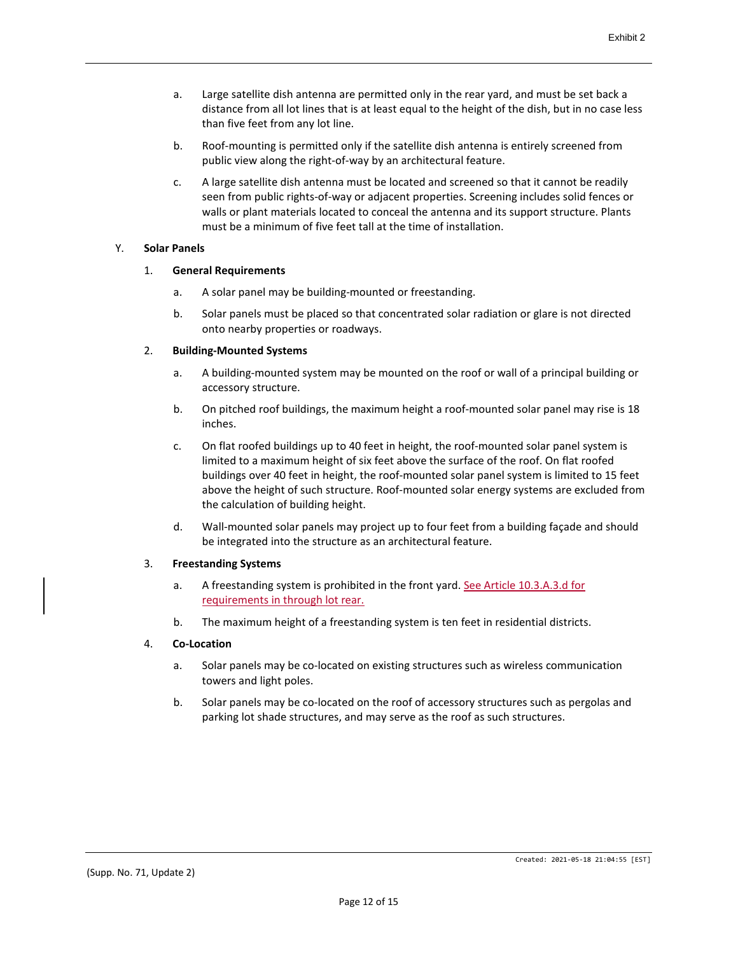- a. Large satellite dish antenna are permitted only in the rear yard, and must be set back a distance from all lot lines that is at least equal to the height of the dish, but in no case less than five feet from any lot line.
- b. Roof-mounting is permitted only if the satellite dish antenna is entirely screened from public view along the right-of-way by an architectural feature.
- c. A large satellite dish antenna must be located and screened so that it cannot be readily seen from public rights-of-way or adjacent properties. Screening includes solid fences or walls or plant materials located to conceal the antenna and its support structure. Plants must be a minimum of five feet tall at the time of installation.

## Y. **Solar Panels**

# 1. **General Requirements**

- a. A solar panel may be building-mounted or freestanding.
- b. Solar panels must be placed so that concentrated solar radiation or glare is not directed onto nearby properties or roadways.

# 2. **Building-Mounted Systems**

- a. A building-mounted system may be mounted on the roof or wall of a principal building or accessory structure.
- b. On pitched roof buildings, the maximum height a roof-mounted solar panel may rise is 18 inches.
- c. On flat roofed buildings up to 40 feet in height, the roof-mounted solar panel system is limited to a maximum height of six feet above the surface of the roof. On flat roofed buildings over 40 feet in height, the roof-mounted solar panel system is limited to 15 feet above the height of such structure. Roof-mounted solar energy systems are excluded from the calculation of building height.
- d. Wall-mounted solar panels may project up to four feet from a building façade and should be integrated into the structure as an architectural feature.

# 3. **Freestanding Systems**

- a. A freestanding system is prohibited in the front yard. See Article 10.3.A.3.d for requirements in through lot rear.
- b. The maximum height of a freestanding system is ten feet in residential districts.

# 4. **Co-Location**

- a. Solar panels may be co-located on existing structures such as wireless communication towers and light poles.
- b. Solar panels may be co-located on the roof of accessory structures such as pergolas and parking lot shade structures, and may serve as the roof as such structures.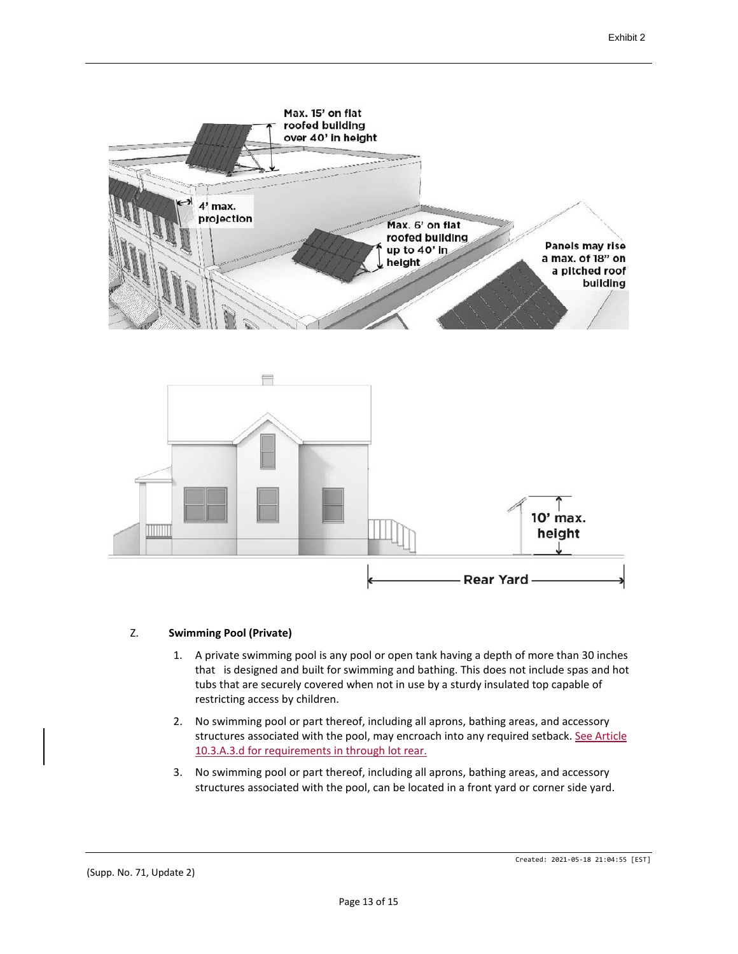



# Z. **Swimming Pool (Private)**

- 1. A private swimming pool is any pool or open tank having a depth of more than 30 inches that is designed and built for swimming and bathing. This does not include spas and hot tubs that are securely covered when not in use by a sturdy insulated top capable of restricting access by children.
- 2. No swimming pool or part thereof, including all aprons, bathing areas, and accessory structures associated with the pool, may encroach into any required setback. See Article 10.3.A.3.d for requirements in through lot rear.
- 3. No swimming pool or part thereof, including all aprons, bathing areas, and accessory structures associated with the pool, can be located in a front yard or corner side yard.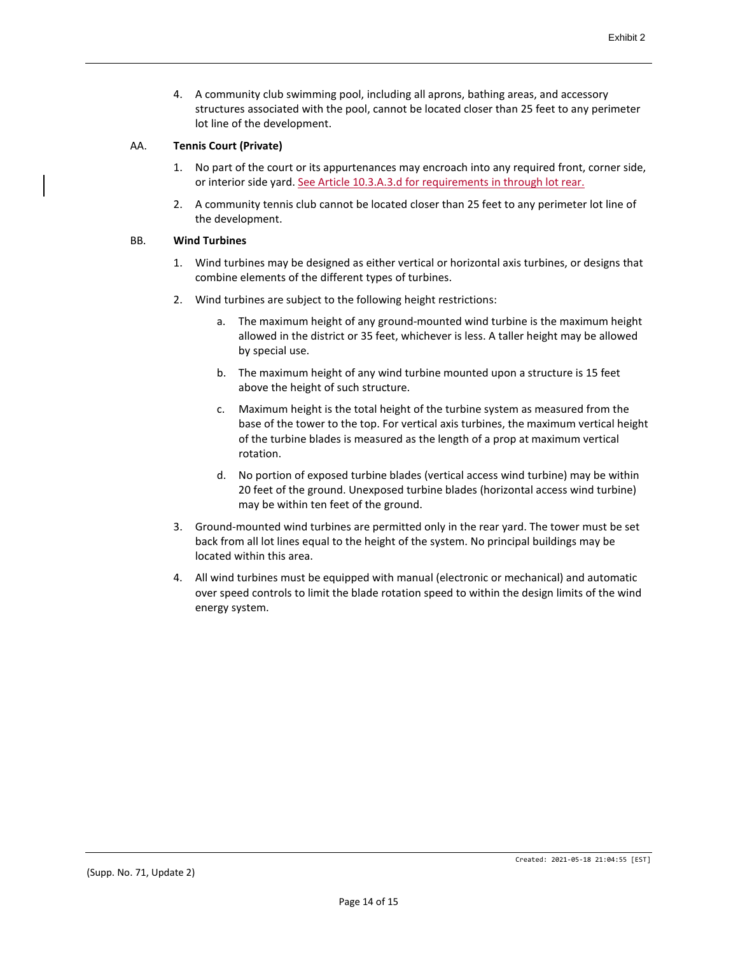4. A community club swimming pool, including all aprons, bathing areas, and accessory structures associated with the pool, cannot be located closer than 25 feet to any perimeter lot line of the development.

# AA. **Tennis Court (Private)**

- 1. No part of the court or its appurtenances may encroach into any required front, corner side, or interior side yard. See Article 10.3.A.3.d for requirements in through lot rear.
- 2. A community tennis club cannot be located closer than 25 feet to any perimeter lot line of the development.

#### BB. **Wind Turbines**

- 1. Wind turbines may be designed as either vertical or horizontal axis turbines, or designs that combine elements of the different types of turbines.
- 2. Wind turbines are subject to the following height restrictions:
	- a. The maximum height of any ground-mounted wind turbine is the maximum height allowed in the district or 35 feet, whichever is less. A taller height may be allowed by special use.
	- b. The maximum height of any wind turbine mounted upon a structure is 15 feet above the height of such structure.
	- c. Maximum height is the total height of the turbine system as measured from the base of the tower to the top. For vertical axis turbines, the maximum vertical height of the turbine blades is measured as the length of a prop at maximum vertical rotation.
	- d. No portion of exposed turbine blades (vertical access wind turbine) may be within 20 feet of the ground. Unexposed turbine blades (horizontal access wind turbine) may be within ten feet of the ground.
- 3. Ground-mounted wind turbines are permitted only in the rear yard. The tower must be set back from all lot lines equal to the height of the system. No principal buildings may be located within this area.
- 4. All wind turbines must be equipped with manual (electronic or mechanical) and automatic over speed controls to limit the blade rotation speed to within the design limits of the wind energy system.